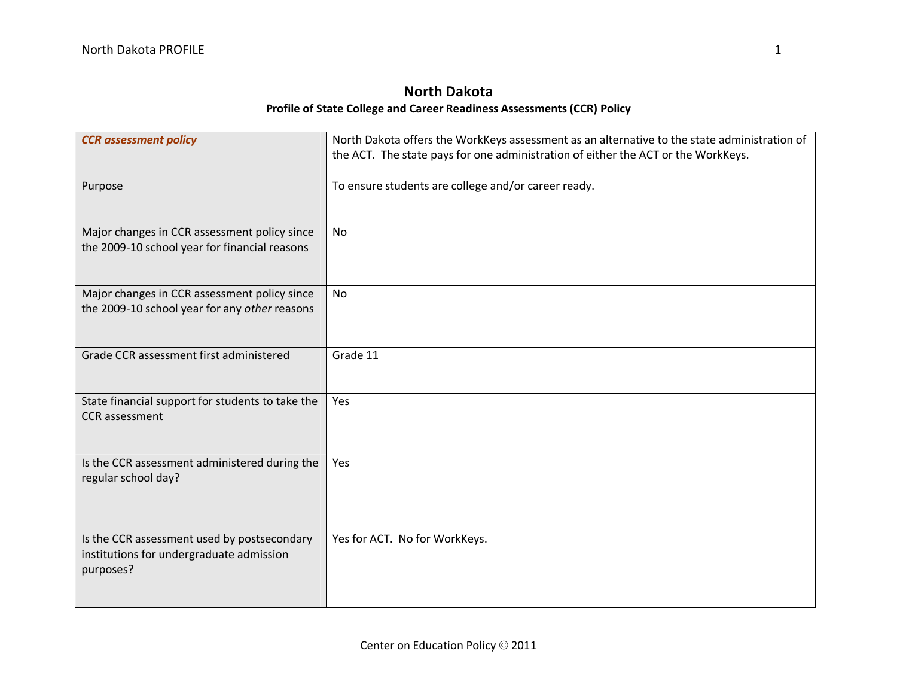## **North Dakota Profile of State College and Career Readiness Assessments (CCR) Policy**

| <b>CCR</b> assessment policy                          | North Dakota offers the WorkKeys assessment as an alternative to the state administration of<br>the ACT. The state pays for one administration of either the ACT or the WorkKeys. |
|-------------------------------------------------------|-----------------------------------------------------------------------------------------------------------------------------------------------------------------------------------|
|                                                       |                                                                                                                                                                                   |
| Purpose                                               | To ensure students are college and/or career ready.                                                                                                                               |
|                                                       |                                                                                                                                                                                   |
| Major changes in CCR assessment policy since          | <b>No</b>                                                                                                                                                                         |
| the 2009-10 school year for financial reasons         |                                                                                                                                                                                   |
|                                                       |                                                                                                                                                                                   |
| Major changes in CCR assessment policy since          | <b>No</b>                                                                                                                                                                         |
| the 2009-10 school year for any other reasons         |                                                                                                                                                                                   |
|                                                       |                                                                                                                                                                                   |
| Grade CCR assessment first administered               | Grade 11                                                                                                                                                                          |
|                                                       |                                                                                                                                                                                   |
| State financial support for students to take the      | Yes                                                                                                                                                                               |
| <b>CCR</b> assessment                                 |                                                                                                                                                                                   |
|                                                       |                                                                                                                                                                                   |
| Is the CCR assessment administered during the         | Yes                                                                                                                                                                               |
| regular school day?                                   |                                                                                                                                                                                   |
|                                                       |                                                                                                                                                                                   |
|                                                       |                                                                                                                                                                                   |
| Is the CCR assessment used by postsecondary           | Yes for ACT. No for WorkKeys.                                                                                                                                                     |
| institutions for undergraduate admission<br>purposes? |                                                                                                                                                                                   |
|                                                       |                                                                                                                                                                                   |
|                                                       |                                                                                                                                                                                   |